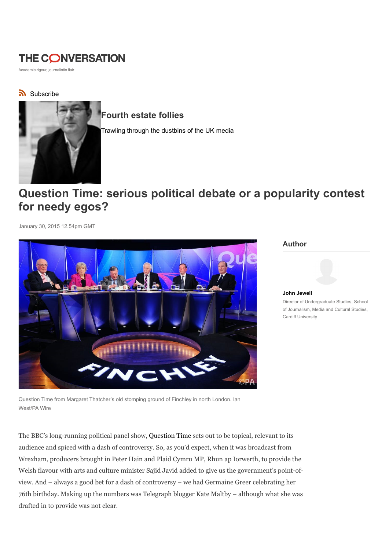# **THE CONVERSATION**

Academic rigour, journalistic flair

### Subscribe



## Fourth estate follies

Trawling through the dustbins of the UK media

# Question Time: serious political debate or a popularity contest for needy egos?

January 30, 2015 12.54pm GMT



#### Author



John Jewell Director of Undergraduate Studies, School of Journalism, Media and Cultural Studies, Cardiff University

Question Time from Margaret Thatcher's old stomping ground of Finchley in north London. Ian West/PA Wire

The BBC's long-running political panel show, Question Time sets out to be topical, relevant to its audience and spiced with a dash of controversy. So, as you'd expect, when it was broadcast from Wrexham, producers brought in Peter Hain and Plaid Cymru MP, Rhun ap Iorwerth, to provide the Welsh flavour with arts and culture minister Sajid Javid added to give us the government's point-ofview. And – always a good bet for a dash of controversy – we had Germaine Greer celebrating her 76th birthday. Making up the numbers was Telegraph blogger Kate Maltby – although what she was drafted in to provide was not clear.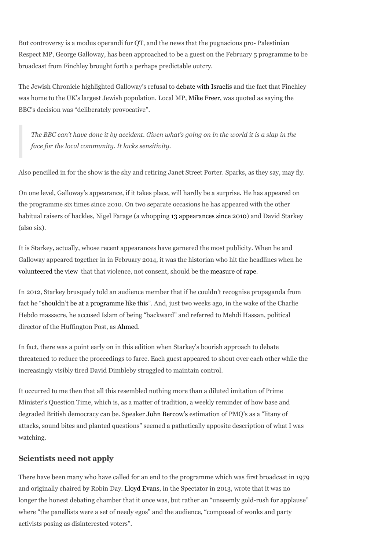But controversy is a modus operandi for QT, and the news that the pugnacious pro- Palestinian Respect MP, George Galloway, has been approached to be a guest on the February 5 programme to be broadcast from Finchley brought forth a perhaps predictable outcry.

The Jewish Chronicle highlighted Galloway's refusal to debate with Israelis and the fact that Finchley was home to the UK's largest Jewish population. Local MP, Mike Freer, was quoted as saying the BBC's decision was "deliberately provocative".

The BBC can't have done it by accident. Given what's going on in the world it is a slap in the face for the local community. It lacks sensitivity.

Also pencilled in for the show is the shy and retiring Janet Street Porter. Sparks, as they say, may fly.

On one level, Galloway's appearance, if it takes place, will hardly be a surprise. He has appeared on the programme six times since 2010. On two separate occasions he has appeared with the other habitual raisers of hackles, Nigel Farage (a whopping 13 appearances since 2010) and David Starkey (also six).

It is Starkey, actually, whose recent appearances have garnered the most publicity. When he and Galloway appeared together in in February 2014, it was the historian who hit the headlines when he volunteered the view that that violence, not consent, should be the measure of rape.

In 2012, Starkey brusquely told an audience member that if he couldn't recognise propaganda from fact he "shouldn't be at a programme like this". And, just two weeks ago, in the wake of the Charlie Hebdo massacre, he accused Islam of being "backward" and referred to Mehdi Hassan, political director of the Huffington Post, as Ahmed.

In fact, there was a point early on in this edition when Starkey's boorish approach to debate threatened to reduce the proceedings to farce. Each guest appeared to shout over each other while the increasingly visibly tired David Dimbleby struggled to maintain control.

It occurred to me then that all this resembled nothing more than a diluted imitation of Prime Minister's Question Time, which is, as a matter of tradition, a weekly reminder of how base and degraded British democracy can be. Speaker John Bercow's estimation of PMQ's as a "litany of attacks, sound bites and planted questions" seemed a pathetically apposite description of what I was watching.

### Scientists need not apply

There have been many who have called for an end to the programme which was first broadcast in 1979 and originally chaired by Robin Day. Lloyd Evans, in the Spectator in 2013, wrote that it was no longer the honest debating chamber that it once was, but rather an "unseemly gold-rush for applause" where "the panellists were a set of needy egos" and the audience, "composed of wonks and party activists posing as disinterested voters".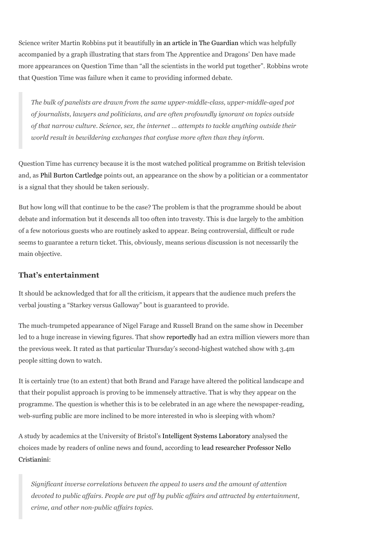Science writer Martin Robbins put it beautifully in an article in The Guardian which was helpfully accompanied by a graph illustrating that stars from The Apprentice and Dragons' Den have made more appearances on Question Time than "all the scientists in the world put together". Robbins wrote that Question Time was failure when it came to providing informed debate.

The bulk of panelists are drawn from the same upper-middle-class, upper-middle-aged pot of journalists, lawyers and politicians, and are often profoundly ignorant on topics outside of that narrow culture. Science, sex, the internet … attempts to tackle anything outside their world result in bewildering exchanges that confuse more often than they inform.

Question Time has currency because it is the most watched political programme on British television and, as Phil Burton Cartledge points out, an appearance on the show by a politician or a commentator is a signal that they should be taken seriously.

But how long will that continue to be the case? The problem is that the programme should be about debate and information but it descends all too often into travesty. This is due largely to the ambition of a few notorious guests who are routinely asked to appear. Being controversial, difficult or rude seems to guarantee a return ticket. This, obviously, means serious discussion is not necessarily the main objective.

### That's entertainment

It should be acknowledged that for all the criticism, it appears that the audience much prefers the verbal jousting a "Starkey versus Galloway" bout is guaranteed to provide.

The much-trumpeted appearance of Nigel Farage and Russell Brand on the same show in December led to a huge increase in viewing figures. That show reportedly had an extra million viewers more than the previous week. It rated as that particular Thursday's second-highest watched show with 3.4m people sitting down to watch.

It is certainly true (to an extent) that both Brand and Farage have altered the political landscape and that their populist approach is proving to be immensely attractive. That is why they appear on the programme. The question is whether this is to be celebrated in an age where the newspaper-reading, web-surfing public are more inclined to be more interested in who is sleeping with whom?

A study by academics at the University of Bristol's Intelligent Systems Laboratory analysed the choices made by readers of online news and found, according to lead researcher Professor Nello Cristianini:

Significant inverse correlations between the appeal to users and the amount of attention devoted to public affairs. People are put off by public affairs and attracted by entertainment, crime, and other non-public affairs topics.